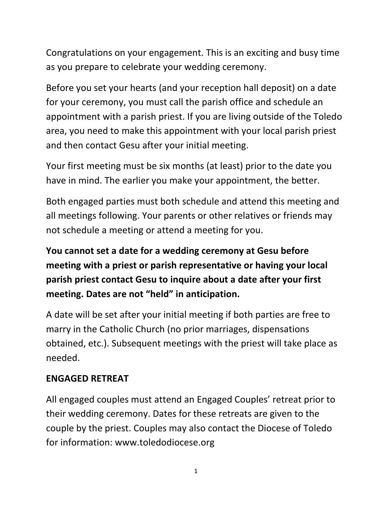Congratulations on your engagement. This is an exciting and busy time as you prepare to celebrate your wedding ceremony.

Before you set your hearts (and your reception hall deposit) on a date for your ceremony, you must call the parish office and schedule an appointment with a parish priest. If you are living outside of the Toledo area, you need to make this appointment with your local parish priest and then contact Gesu after your initial meeting.

Your first meeting must be six months (at least) prior to the date you have in mind. The earlier you make your appointment, the better.

Both engaged parties must both schedule and attend this meeting and all meetings following. Your parents or other relatives or friends may not schedule a meeting or attend a meeting for you.

**You cannot set a date for a wedding ceremony at Gesu before meeting with a priest or parish representative or having your local parish priest contact Gesu to inquire about a date after your first meeting. Dates are not "held" in anticipation.** 

A date will be set after your initial meeting if both parties are free to marry in the Catholic Church (no prior marriages, dispensations obtained, etc.). Subsequent meetings with the priest will take place as needed.

#### **ENGAGED RETREAT**

All engaged couples must attend an Engaged Couples' retreat prior to their wedding ceremony. Dates for these retreats are given to the couple by the priest. Couples may also contact the Diocese of Toledo for information: www.toledodiocese.org

1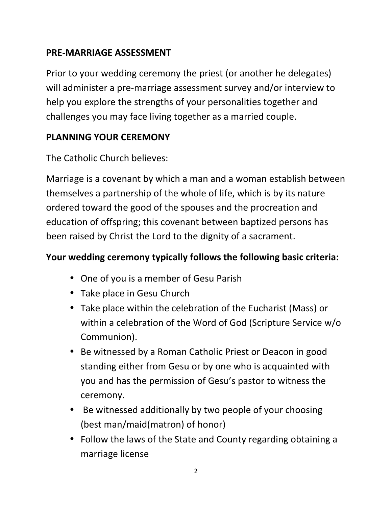### **PRE-MARRIAGE ASSESSMENT**

Prior to your wedding ceremony the priest (or another he delegates) will administer a pre-marriage assessment survey and/or interview to help you explore the strengths of your personalities together and challenges you may face living together as a married couple.

## **PLANNING YOUR CEREMONY**

The Catholic Church believes:

Marriage is a covenant by which a man and a woman establish between themselves a partnership of the whole of life, which is by its nature ordered toward the good of the spouses and the procreation and education of offspring; this covenant between baptized persons has been raised by Christ the Lord to the dignity of a sacrament.

# **Your wedding ceremony typically follows the following basic criteria:**

- One of you is a member of Gesu Parish
- Take place in Gesu Church
- Take place within the celebration of the Eucharist (Mass) or within a celebration of the Word of God (Scripture Service w/o Communion).
- Be witnessed by a Roman Catholic Priest or Deacon in good standing either from Gesu or by one who is acquainted with you and has the permission of Gesu's pastor to witness the ceremony.
- Be witnessed additionally by two people of your choosing (best man/maid(matron) of honor)
- Follow the laws of the State and County regarding obtaining a marriage license